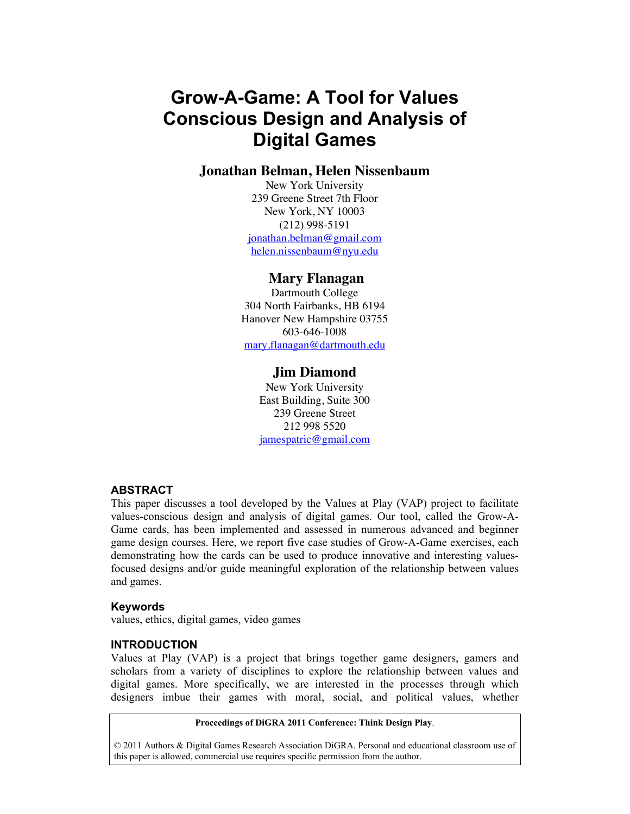# **Grow-A-Game: A Tool for Values Conscious Design and Analysis of Digital Games**

# **Jonathan Belman, Helen Nissenbaum**

New York University 239 Greene Street 7th Floor New York, NY 10003 (212) 998-5191 jonathan.belman@gmail.com helen.nissenbaum@nyu.edu

# **Mary Flanagan**

Dartmouth College 304 North Fairbanks, HB 6194 Hanover New Hampshire 03755 603-646-1008 mary.flanagan@dartmouth.edu

# **Jim Diamond**

New York University East Building, Suite 300 239 Greene Street 212 998 5520 jamespatric@gmail.com

#### **ABSTRACT**

This paper discusses a tool developed by the Values at Play (VAP) project to facilitate values-conscious design and analysis of digital games. Our tool, called the Grow-A-Game cards, has been implemented and assessed in numerous advanced and beginner game design courses. Here, we report five case studies of Grow-A-Game exercises, each demonstrating how the cards can be used to produce innovative and interesting valuesfocused designs and/or guide meaningful exploration of the relationship between values and games.

#### **Keywords**

values, ethics, digital games, video games

#### **INTRODUCTION**

Values at Play (VAP) is a project that brings together game designers, gamers and scholars from a variety of disciplines to explore the relationship between values and digital games. More specifically, we are interested in the processes through which designers imbue their games with moral, social, and political values, whether

#### **Proceedings of DiGRA 2011 Conference: Think Design Play**.

© 2011 Authors & Digital Games Research Association DiGRA. Personal and educational classroom use of this paper is allowed, commercial use requires specific permission from the author.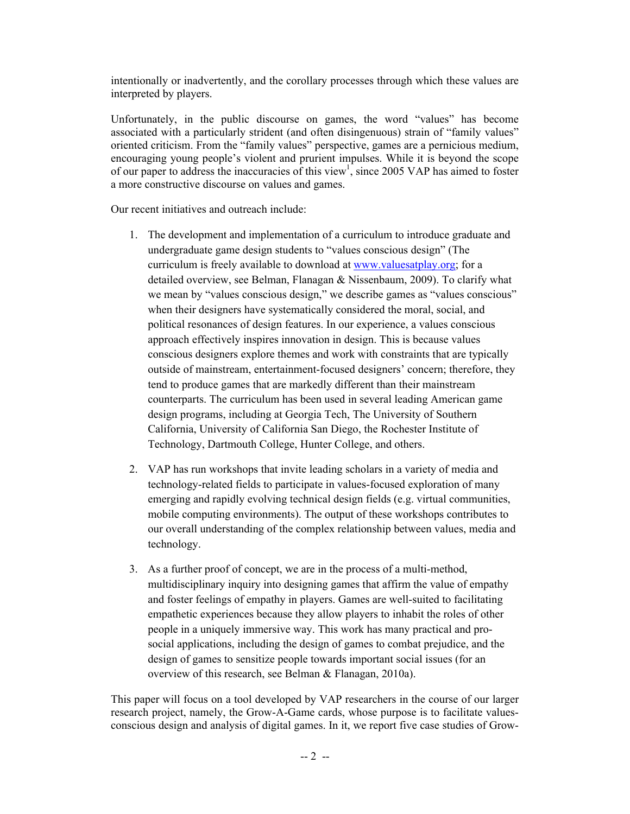intentionally or inadvertently, and the corollary processes through which these values are interpreted by players.

Unfortunately, in the public discourse on games, the word "values" has become associated with a particularly strident (and often disingenuous) strain of "family values" oriented criticism. From the "family values" perspective, games are a pernicious medium, encouraging young people's violent and prurient impulses. While it is beyond the scope of our paper to address the inaccuracies of this view<sup>1</sup>, since 2005 VAP has aimed to foster a more constructive discourse on values and games.

Our recent initiatives and outreach include:

- 1. The development and implementation of a curriculum to introduce graduate and undergraduate game design students to "values conscious design" (The curriculum is freely available to download at www.valuesatplay.org; for a detailed overview, see Belman, Flanagan & Nissenbaum, 2009). To clarify what we mean by "values conscious design," we describe games as "values conscious" when their designers have systematically considered the moral, social, and political resonances of design features. In our experience, a values conscious approach effectively inspires innovation in design. This is because values conscious designers explore themes and work with constraints that are typically outside of mainstream, entertainment-focused designers' concern; therefore, they tend to produce games that are markedly different than their mainstream counterparts. The curriculum has been used in several leading American game design programs, including at Georgia Tech, The University of Southern California, University of California San Diego, the Rochester Institute of Technology, Dartmouth College, Hunter College, and others.
- 2. VAP has run workshops that invite leading scholars in a variety of media and technology-related fields to participate in values-focused exploration of many emerging and rapidly evolving technical design fields (e.g. virtual communities, mobile computing environments). The output of these workshops contributes to our overall understanding of the complex relationship between values, media and technology.
- 3. As a further proof of concept, we are in the process of a multi-method, multidisciplinary inquiry into designing games that affirm the value of empathy and foster feelings of empathy in players. Games are well-suited to facilitating empathetic experiences because they allow players to inhabit the roles of other people in a uniquely immersive way. This work has many practical and prosocial applications, including the design of games to combat prejudice, and the design of games to sensitize people towards important social issues (for an overview of this research, see Belman & Flanagan, 2010a).

This paper will focus on a tool developed by VAP researchers in the course of our larger research project, namely, the Grow-A-Game cards, whose purpose is to facilitate valuesconscious design and analysis of digital games. In it, we report five case studies of Grow-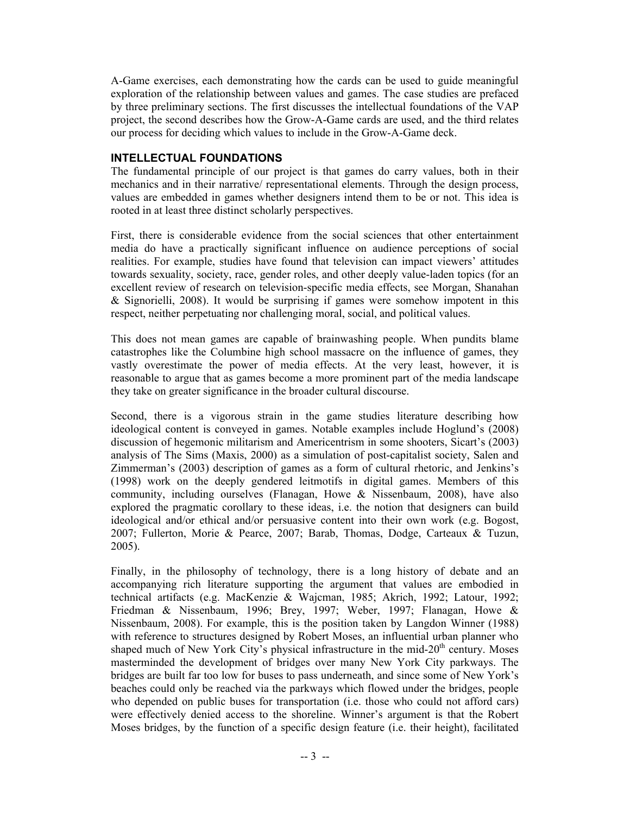A-Game exercises, each demonstrating how the cards can be used to guide meaningful exploration of the relationship between values and games. The case studies are prefaced by three preliminary sections. The first discusses the intellectual foundations of the VAP project, the second describes how the Grow-A-Game cards are used, and the third relates our process for deciding which values to include in the Grow-A-Game deck.

#### **INTELLECTUAL FOUNDATIONS**

The fundamental principle of our project is that games do carry values, both in their mechanics and in their narrative/ representational elements. Through the design process, values are embedded in games whether designers intend them to be or not. This idea is rooted in at least three distinct scholarly perspectives.

First, there is considerable evidence from the social sciences that other entertainment media do have a practically significant influence on audience perceptions of social realities. For example, studies have found that television can impact viewers' attitudes towards sexuality, society, race, gender roles, and other deeply value-laden topics (for an excellent review of research on television-specific media effects, see Morgan, Shanahan & Signorielli, 2008). It would be surprising if games were somehow impotent in this respect, neither perpetuating nor challenging moral, social, and political values.

This does not mean games are capable of brainwashing people. When pundits blame catastrophes like the Columbine high school massacre on the influence of games, they vastly overestimate the power of media effects. At the very least, however, it is reasonable to argue that as games become a more prominent part of the media landscape they take on greater significance in the broader cultural discourse.

Second, there is a vigorous strain in the game studies literature describing how ideological content is conveyed in games. Notable examples include Hoglund's (2008) discussion of hegemonic militarism and Americentrism in some shooters, Sicart's (2003) analysis of The Sims (Maxis, 2000) as a simulation of post-capitalist society, Salen and Zimmerman's (2003) description of games as a form of cultural rhetoric, and Jenkins's (1998) work on the deeply gendered leitmotifs in digital games. Members of this community, including ourselves (Flanagan, Howe & Nissenbaum, 2008), have also explored the pragmatic corollary to these ideas, i.e. the notion that designers can build ideological and/or ethical and/or persuasive content into their own work (e.g. Bogost, 2007; Fullerton, Morie & Pearce, 2007; Barab, Thomas, Dodge, Carteaux & Tuzun, 2005).

Finally, in the philosophy of technology, there is a long history of debate and an accompanying rich literature supporting the argument that values are embodied in technical artifacts (e.g. MacKenzie & Wajcman, 1985; Akrich, 1992; Latour, 1992; Friedman & Nissenbaum, 1996; Brey, 1997; Weber, 1997; Flanagan, Howe & Nissenbaum, 2008). For example, this is the position taken by Langdon Winner (1988) with reference to structures designed by Robert Moses, an influential urban planner who shaped much of New York City's physical infrastructure in the mid- $20<sup>th</sup>$  century. Moses masterminded the development of bridges over many New York City parkways. The bridges are built far too low for buses to pass underneath, and since some of New York's beaches could only be reached via the parkways which flowed under the bridges, people who depended on public buses for transportation (i.e. those who could not afford cars) were effectively denied access to the shoreline. Winner's argument is that the Robert Moses bridges, by the function of a specific design feature (i.e. their height), facilitated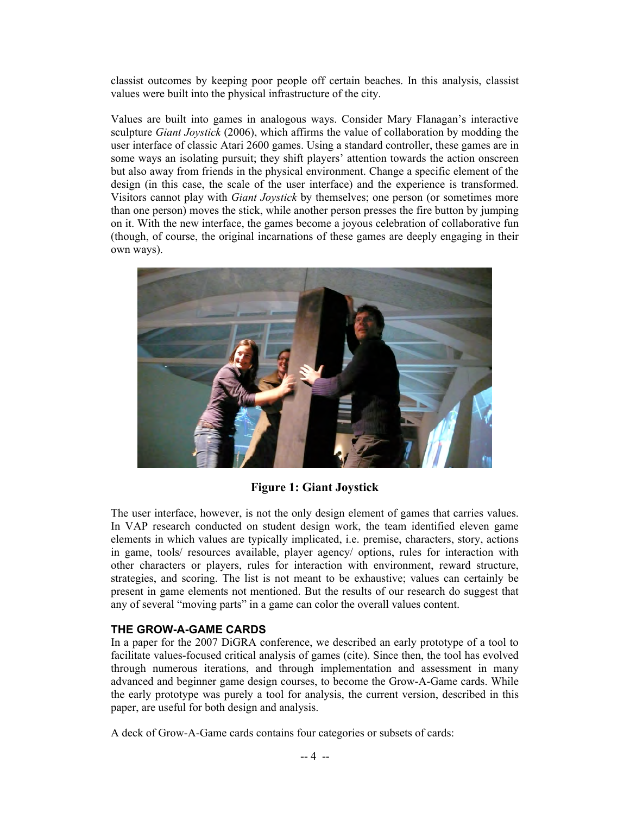classist outcomes by keeping poor people off certain beaches. In this analysis, classist values were built into the physical infrastructure of the city.

Values are built into games in analogous ways. Consider Mary Flanagan's interactive sculpture *Giant Joystick* (2006), which affirms the value of collaboration by modding the user interface of classic Atari 2600 games. Using a standard controller, these games are in some ways an isolating pursuit; they shift players' attention towards the action onscreen but also away from friends in the physical environment. Change a specific element of the design (in this case, the scale of the user interface) and the experience is transformed. Visitors cannot play with *Giant Joystick* by themselves; one person (or sometimes more than one person) moves the stick, while another person presses the fire button by jumping on it. With the new interface, the games become a joyous celebration of collaborative fun (though, of course, the original incarnations of these games are deeply engaging in their own ways).



**Figure 1: Giant Joystick**

The user interface, however, is not the only design element of games that carries values. In VAP research conducted on student design work, the team identified eleven game elements in which values are typically implicated, i.e. premise, characters, story, actions in game, tools/ resources available, player agency/ options, rules for interaction with other characters or players, rules for interaction with environment, reward structure, strategies, and scoring. The list is not meant to be exhaustive; values can certainly be present in game elements not mentioned. But the results of our research do suggest that any of several "moving parts" in a game can color the overall values content.

# **THE GROW-A-GAME CARDS**

In a paper for the 2007 DiGRA conference, we described an early prototype of a tool to facilitate values-focused critical analysis of games (cite). Since then, the tool has evolved through numerous iterations, and through implementation and assessment in many advanced and beginner game design courses, to become the Grow-A-Game cards. While the early prototype was purely a tool for analysis, the current version, described in this paper, are useful for both design and analysis.

A deck of Grow-A-Game cards contains four categories or subsets of cards: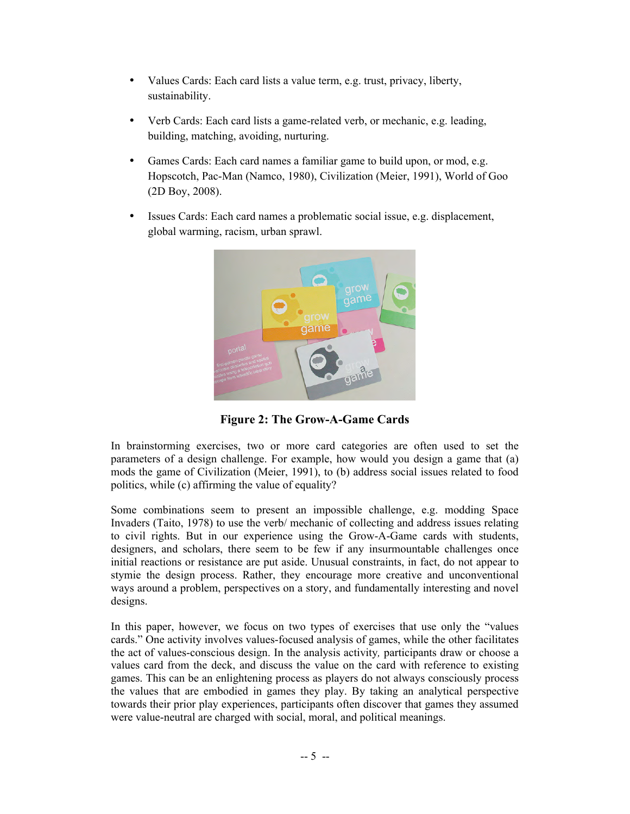- Values Cards: Each card lists a value term, e.g. trust, privacy, liberty, sustainability.
- Verb Cards: Each card lists a game-related verb, or mechanic, e.g. leading, building, matching, avoiding, nurturing.
- Games Cards: Each card names a familiar game to build upon, or mod, e.g. Hopscotch, Pac-Man (Namco, 1980), Civilization (Meier, 1991), World of Goo (2D Boy, 2008).
- Issues Cards: Each card names a problematic social issue, e.g. displacement, global warming, racism, urban sprawl.



**Figure 2: The Grow-A-Game Cards**

In brainstorming exercises, two or more card categories are often used to set the parameters of a design challenge. For example, how would you design a game that (a) mods the game of Civilization (Meier, 1991), to (b) address social issues related to food politics, while (c) affirming the value of equality?

Some combinations seem to present an impossible challenge, e.g. modding Space Invaders (Taito, 1978) to use the verb/ mechanic of collecting and address issues relating to civil rights. But in our experience using the Grow-A-Game cards with students, designers, and scholars, there seem to be few if any insurmountable challenges once initial reactions or resistance are put aside. Unusual constraints, in fact, do not appear to stymie the design process. Rather, they encourage more creative and unconventional ways around a problem, perspectives on a story, and fundamentally interesting and novel designs.

In this paper, however, we focus on two types of exercises that use only the "values cards." One activity involves values-focused analysis of games, while the other facilitates the act of values-conscious design. In the analysis activity*,* participants draw or choose a values card from the deck, and discuss the value on the card with reference to existing games. This can be an enlightening process as players do not always consciously process the values that are embodied in games they play. By taking an analytical perspective towards their prior play experiences, participants often discover that games they assumed were value-neutral are charged with social, moral, and political meanings.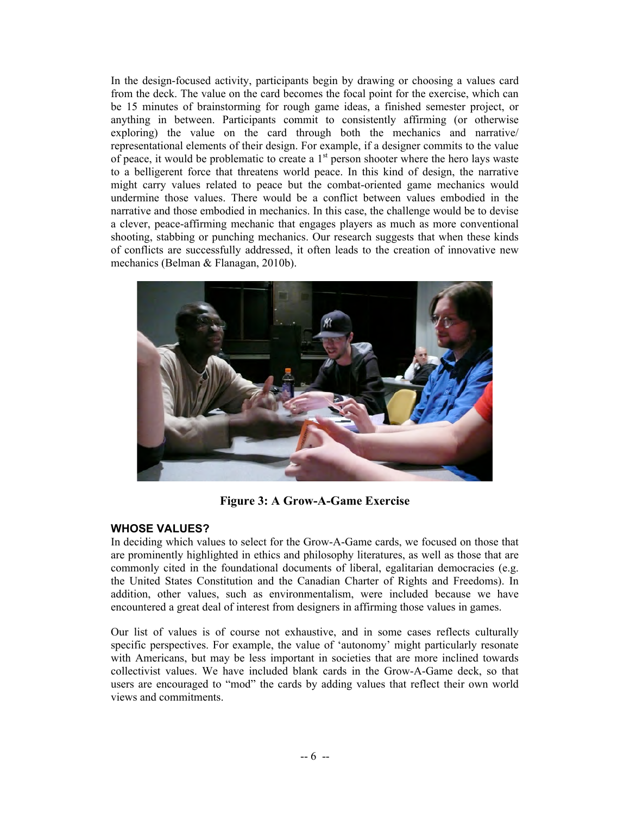In the design-focused activity, participants begin by drawing or choosing a values card from the deck. The value on the card becomes the focal point for the exercise, which can be 15 minutes of brainstorming for rough game ideas, a finished semester project, or anything in between. Participants commit to consistently affirming (or otherwise exploring) the value on the card through both the mechanics and narrative/ representational elements of their design. For example, if a designer commits to the value of peace, it would be problematic to create a  $1<sup>st</sup>$  person shooter where the hero lays waste to a belligerent force that threatens world peace. In this kind of design, the narrative might carry values related to peace but the combat-oriented game mechanics would undermine those values. There would be a conflict between values embodied in the narrative and those embodied in mechanics. In this case, the challenge would be to devise a clever, peace-affirming mechanic that engages players as much as more conventional shooting, stabbing or punching mechanics. Our research suggests that when these kinds of conflicts are successfully addressed, it often leads to the creation of innovative new mechanics (Belman & Flanagan, 2010b).



**Figure 3: A Grow-A-Game Exercise**

# **WHOSE VALUES?**

In deciding which values to select for the Grow-A-Game cards, we focused on those that are prominently highlighted in ethics and philosophy literatures, as well as those that are commonly cited in the foundational documents of liberal, egalitarian democracies (e.g. the United States Constitution and the Canadian Charter of Rights and Freedoms). In addition, other values, such as environmentalism, were included because we have encountered a great deal of interest from designers in affirming those values in games.

Our list of values is of course not exhaustive, and in some cases reflects culturally specific perspectives. For example, the value of 'autonomy' might particularly resonate with Americans, but may be less important in societies that are more inclined towards collectivist values. We have included blank cards in the Grow-A-Game deck, so that users are encouraged to "mod" the cards by adding values that reflect their own world views and commitments.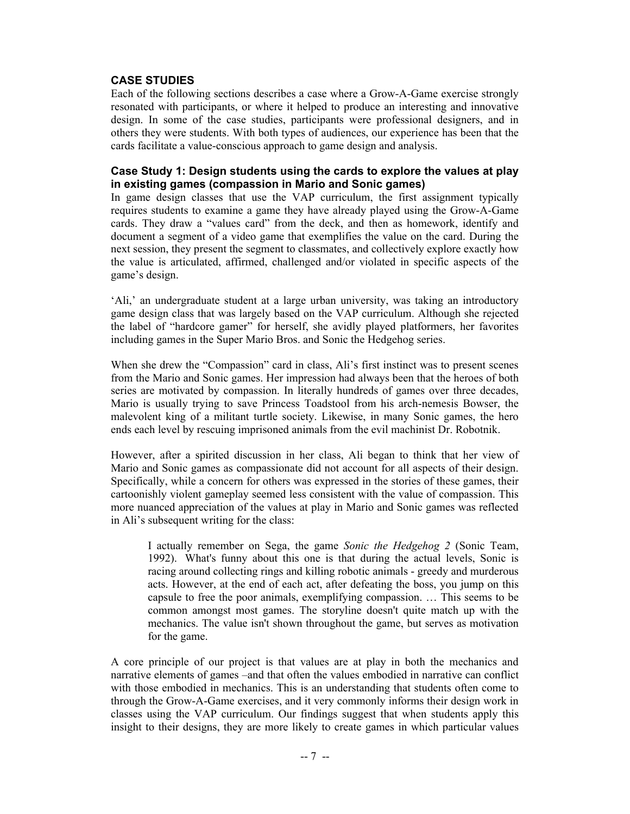## **CASE STUDIES**

Each of the following sections describes a case where a Grow-A-Game exercise strongly resonated with participants, or where it helped to produce an interesting and innovative design. In some of the case studies, participants were professional designers, and in others they were students. With both types of audiences, our experience has been that the cards facilitate a value-conscious approach to game design and analysis.

#### **Case Study 1: Design students using the cards to explore the values at play in existing games (compassion in Mario and Sonic games)**

In game design classes that use the VAP curriculum, the first assignment typically requires students to examine a game they have already played using the Grow-A-Game cards. They draw a "values card" from the deck, and then as homework, identify and document a segment of a video game that exemplifies the value on the card. During the next session, they present the segment to classmates, and collectively explore exactly how the value is articulated, affirmed, challenged and/or violated in specific aspects of the game's design.

'Ali,' an undergraduate student at a large urban university, was taking an introductory game design class that was largely based on the VAP curriculum. Although she rejected the label of "hardcore gamer" for herself, she avidly played platformers, her favorites including games in the Super Mario Bros. and Sonic the Hedgehog series.

When she drew the "Compassion" card in class, Ali's first instinct was to present scenes from the Mario and Sonic games. Her impression had always been that the heroes of both series are motivated by compassion. In literally hundreds of games over three decades, Mario is usually trying to save Princess Toadstool from his arch-nemesis Bowser, the malevolent king of a militant turtle society. Likewise, in many Sonic games, the hero ends each level by rescuing imprisoned animals from the evil machinist Dr. Robotnik.

However, after a spirited discussion in her class, Ali began to think that her view of Mario and Sonic games as compassionate did not account for all aspects of their design. Specifically, while a concern for others was expressed in the stories of these games, their cartoonishly violent gameplay seemed less consistent with the value of compassion. This more nuanced appreciation of the values at play in Mario and Sonic games was reflected in Ali's subsequent writing for the class:

I actually remember on Sega, the game *Sonic the Hedgehog 2* (Sonic Team, 1992). What's funny about this one is that during the actual levels, Sonic is racing around collecting rings and killing robotic animals - greedy and murderous acts. However, at the end of each act, after defeating the boss, you jump on this capsule to free the poor animals, exemplifying compassion. … This seems to be common amongst most games. The storyline doesn't quite match up with the mechanics. The value isn't shown throughout the game, but serves as motivation for the game.

A core principle of our project is that values are at play in both the mechanics and narrative elements of games –and that often the values embodied in narrative can conflict with those embodied in mechanics. This is an understanding that students often come to through the Grow-A-Game exercises, and it very commonly informs their design work in classes using the VAP curriculum. Our findings suggest that when students apply this insight to their designs, they are more likely to create games in which particular values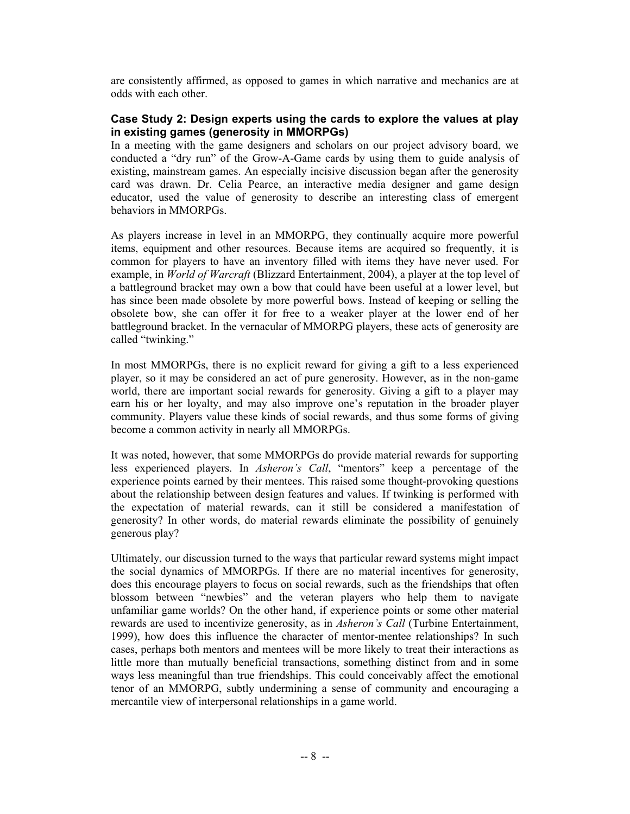are consistently affirmed, as opposed to games in which narrative and mechanics are at odds with each other.

## **Case Study 2: Design experts using the cards to explore the values at play in existing games (generosity in MMORPGs)**

In a meeting with the game designers and scholars on our project advisory board, we conducted a "dry run" of the Grow-A-Game cards by using them to guide analysis of existing, mainstream games. An especially incisive discussion began after the generosity card was drawn. Dr. Celia Pearce, an interactive media designer and game design educator, used the value of generosity to describe an interesting class of emergent behaviors in MMORPGs.

As players increase in level in an MMORPG, they continually acquire more powerful items, equipment and other resources. Because items are acquired so frequently, it is common for players to have an inventory filled with items they have never used. For example, in *World of Warcraft* (Blizzard Entertainment, 2004), a player at the top level of a battleground bracket may own a bow that could have been useful at a lower level, but has since been made obsolete by more powerful bows. Instead of keeping or selling the obsolete bow, she can offer it for free to a weaker player at the lower end of her battleground bracket. In the vernacular of MMORPG players, these acts of generosity are called "twinking."

In most MMORPGs, there is no explicit reward for giving a gift to a less experienced player, so it may be considered an act of pure generosity. However, as in the non-game world, there are important social rewards for generosity. Giving a gift to a player may earn his or her loyalty, and may also improve one's reputation in the broader player community. Players value these kinds of social rewards, and thus some forms of giving become a common activity in nearly all MMORPGs.

It was noted, however, that some MMORPGs do provide material rewards for supporting less experienced players. In *Asheron's Call*, "mentors" keep a percentage of the experience points earned by their mentees. This raised some thought-provoking questions about the relationship between design features and values. If twinking is performed with the expectation of material rewards, can it still be considered a manifestation of generosity? In other words, do material rewards eliminate the possibility of genuinely generous play?

Ultimately, our discussion turned to the ways that particular reward systems might impact the social dynamics of MMORPGs. If there are no material incentives for generosity, does this encourage players to focus on social rewards, such as the friendships that often blossom between "newbies" and the veteran players who help them to navigate unfamiliar game worlds? On the other hand, if experience points or some other material rewards are used to incentivize generosity, as in *Asheron's Call* (Turbine Entertainment, 1999), how does this influence the character of mentor-mentee relationships? In such cases, perhaps both mentors and mentees will be more likely to treat their interactions as little more than mutually beneficial transactions, something distinct from and in some ways less meaningful than true friendships. This could conceivably affect the emotional tenor of an MMORPG, subtly undermining a sense of community and encouraging a mercantile view of interpersonal relationships in a game world.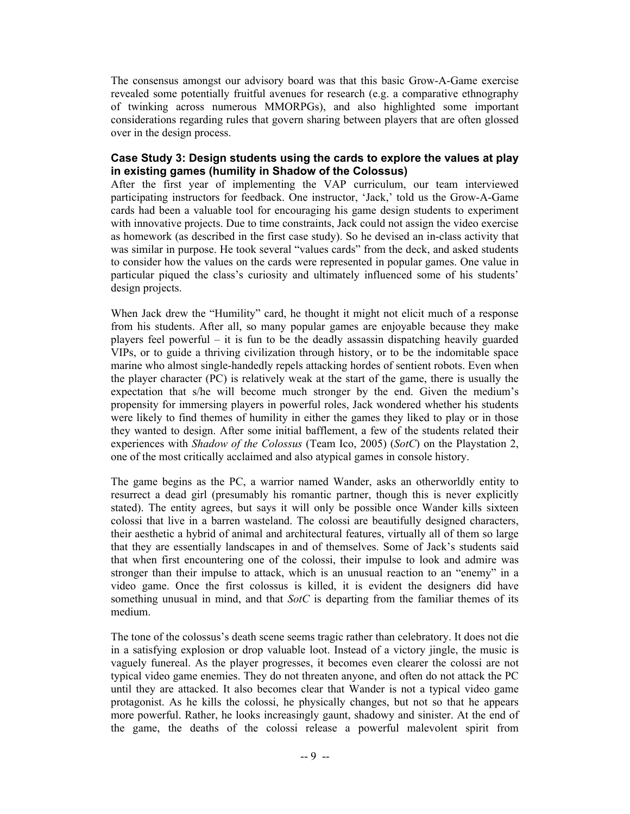The consensus amongst our advisory board was that this basic Grow-A-Game exercise revealed some potentially fruitful avenues for research (e.g. a comparative ethnography of twinking across numerous MMORPGs), and also highlighted some important considerations regarding rules that govern sharing between players that are often glossed over in the design process.

#### **Case Study 3: Design students using the cards to explore the values at play in existing games (humility in Shadow of the Colossus)**

After the first year of implementing the VAP curriculum, our team interviewed participating instructors for feedback. One instructor, 'Jack,' told us the Grow-A-Game cards had been a valuable tool for encouraging his game design students to experiment with innovative projects. Due to time constraints, Jack could not assign the video exercise as homework (as described in the first case study). So he devised an in-class activity that was similar in purpose. He took several "values cards" from the deck, and asked students to consider how the values on the cards were represented in popular games. One value in particular piqued the class's curiosity and ultimately influenced some of his students' design projects.

When Jack drew the "Humility" card, he thought it might not elicit much of a response from his students. After all, so many popular games are enjoyable because they make players feel powerful – it is fun to be the deadly assassin dispatching heavily guarded VIPs, or to guide a thriving civilization through history, or to be the indomitable space marine who almost single-handedly repels attacking hordes of sentient robots. Even when the player character (PC) is relatively weak at the start of the game, there is usually the expectation that s/he will become much stronger by the end. Given the medium's propensity for immersing players in powerful roles, Jack wondered whether his students were likely to find themes of humility in either the games they liked to play or in those they wanted to design. After some initial bafflement, a few of the students related their experiences with *Shadow of the Colossus* (Team Ico, 2005) (*SotC*) on the Playstation 2, one of the most critically acclaimed and also atypical games in console history.

The game begins as the PC, a warrior named Wander, asks an otherworldly entity to resurrect a dead girl (presumably his romantic partner, though this is never explicitly stated). The entity agrees, but says it will only be possible once Wander kills sixteen colossi that live in a barren wasteland. The colossi are beautifully designed characters, their aesthetic a hybrid of animal and architectural features, virtually all of them so large that they are essentially landscapes in and of themselves. Some of Jack's students said that when first encountering one of the colossi, their impulse to look and admire was stronger than their impulse to attack, which is an unusual reaction to an "enemy" in a video game. Once the first colossus is killed, it is evident the designers did have something unusual in mind, and that *SotC* is departing from the familiar themes of its medium.

The tone of the colossus's death scene seems tragic rather than celebratory. It does not die in a satisfying explosion or drop valuable loot. Instead of a victory jingle, the music is vaguely funereal. As the player progresses, it becomes even clearer the colossi are not typical video game enemies. They do not threaten anyone, and often do not attack the PC until they are attacked. It also becomes clear that Wander is not a typical video game protagonist. As he kills the colossi, he physically changes, but not so that he appears more powerful. Rather, he looks increasingly gaunt, shadowy and sinister. At the end of the game, the deaths of the colossi release a powerful malevolent spirit from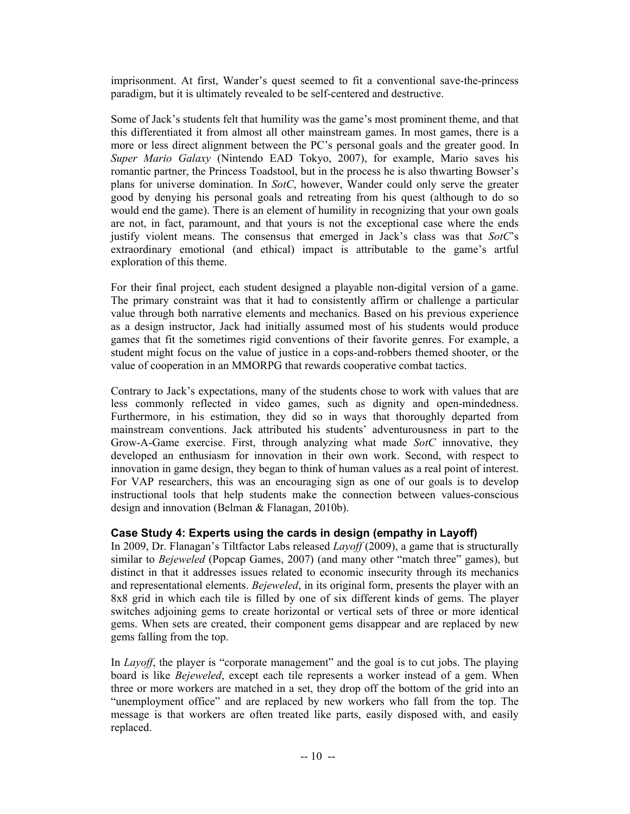imprisonment. At first, Wander's quest seemed to fit a conventional save-the-princess paradigm, but it is ultimately revealed to be self-centered and destructive.

Some of Jack's students felt that humility was the game's most prominent theme, and that this differentiated it from almost all other mainstream games. In most games, there is a more or less direct alignment between the PC's personal goals and the greater good. In *Super Mario Galaxy* (Nintendo EAD Tokyo, 2007), for example, Mario saves his romantic partner, the Princess Toadstool, but in the process he is also thwarting Bowser's plans for universe domination. In *SotC*, however, Wander could only serve the greater good by denying his personal goals and retreating from his quest (although to do so would end the game). There is an element of humility in recognizing that your own goals are not, in fact, paramount, and that yours is not the exceptional case where the ends justify violent means. The consensus that emerged in Jack's class was that *SotC*'s extraordinary emotional (and ethical) impact is attributable to the game's artful exploration of this theme.

For their final project, each student designed a playable non-digital version of a game. The primary constraint was that it had to consistently affirm or challenge a particular value through both narrative elements and mechanics. Based on his previous experience as a design instructor, Jack had initially assumed most of his students would produce games that fit the sometimes rigid conventions of their favorite genres. For example, a student might focus on the value of justice in a cops-and-robbers themed shooter, or the value of cooperation in an MMORPG that rewards cooperative combat tactics.

Contrary to Jack's expectations, many of the students chose to work with values that are less commonly reflected in video games, such as dignity and open-mindedness. Furthermore, in his estimation, they did so in ways that thoroughly departed from mainstream conventions. Jack attributed his students' adventurousness in part to the Grow-A-Game exercise. First, through analyzing what made *SotC* innovative, they developed an enthusiasm for innovation in their own work. Second, with respect to innovation in game design, they began to think of human values as a real point of interest. For VAP researchers, this was an encouraging sign as one of our goals is to develop instructional tools that help students make the connection between values-conscious design and innovation (Belman & Flanagan, 2010b).

# **Case Study 4: Experts using the cards in design (empathy in Layoff)**

In 2009, Dr. Flanagan's Tiltfactor Labs released *Layoff* (2009), a game that is structurally similar to *Bejeweled* (Popcap Games, 2007) (and many other "match three" games), but distinct in that it addresses issues related to economic insecurity through its mechanics and representational elements. *Bejeweled*, in its original form, presents the player with an 8x8 grid in which each tile is filled by one of six different kinds of gems. The player switches adjoining gems to create horizontal or vertical sets of three or more identical gems. When sets are created, their component gems disappear and are replaced by new gems falling from the top.

In *Layoff*, the player is "corporate management" and the goal is to cut jobs. The playing board is like *Bejeweled*, except each tile represents a worker instead of a gem. When three or more workers are matched in a set, they drop off the bottom of the grid into an "unemployment office" and are replaced by new workers who fall from the top. The message is that workers are often treated like parts, easily disposed with, and easily replaced.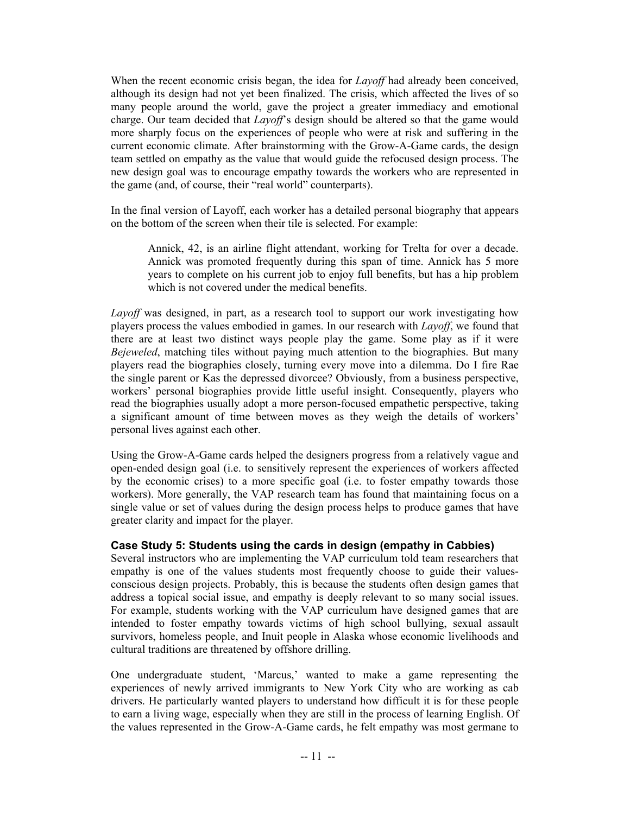When the recent economic crisis began, the idea for *Layoff* had already been conceived, although its design had not yet been finalized. The crisis, which affected the lives of so many people around the world, gave the project a greater immediacy and emotional charge. Our team decided that *Layoff*'s design should be altered so that the game would more sharply focus on the experiences of people who were at risk and suffering in the current economic climate. After brainstorming with the Grow-A-Game cards, the design team settled on empathy as the value that would guide the refocused design process. The new design goal was to encourage empathy towards the workers who are represented in the game (and, of course, their "real world" counterparts).

In the final version of Layoff, each worker has a detailed personal biography that appears on the bottom of the screen when their tile is selected. For example:

Annick, 42, is an airline flight attendant, working for Trelta for over a decade. Annick was promoted frequently during this span of time. Annick has 5 more years to complete on his current job to enjoy full benefits, but has a hip problem which is not covered under the medical benefits.

*Layoff* was designed, in part, as a research tool to support our work investigating how players process the values embodied in games. In our research with *Layoff*, we found that there are at least two distinct ways people play the game. Some play as if it were *Bejeweled*, matching tiles without paying much attention to the biographies. But many players read the biographies closely, turning every move into a dilemma. Do I fire Rae the single parent or Kas the depressed divorcee? Obviously, from a business perspective, workers' personal biographies provide little useful insight. Consequently, players who read the biographies usually adopt a more person-focused empathetic perspective, taking a significant amount of time between moves as they weigh the details of workers' personal lives against each other.

Using the Grow-A-Game cards helped the designers progress from a relatively vague and open-ended design goal (i.e. to sensitively represent the experiences of workers affected by the economic crises) to a more specific goal (i.e. to foster empathy towards those workers). More generally, the VAP research team has found that maintaining focus on a single value or set of values during the design process helps to produce games that have greater clarity and impact for the player.

#### **Case Study 5: Students using the cards in design (empathy in Cabbies)**

Several instructors who are implementing the VAP curriculum told team researchers that empathy is one of the values students most frequently choose to guide their valuesconscious design projects. Probably, this is because the students often design games that address a topical social issue, and empathy is deeply relevant to so many social issues. For example, students working with the VAP curriculum have designed games that are intended to foster empathy towards victims of high school bullying, sexual assault survivors, homeless people, and Inuit people in Alaska whose economic livelihoods and cultural traditions are threatened by offshore drilling.

One undergraduate student, 'Marcus,' wanted to make a game representing the experiences of newly arrived immigrants to New York City who are working as cab drivers. He particularly wanted players to understand how difficult it is for these people to earn a living wage, especially when they are still in the process of learning English. Of the values represented in the Grow-A-Game cards, he felt empathy was most germane to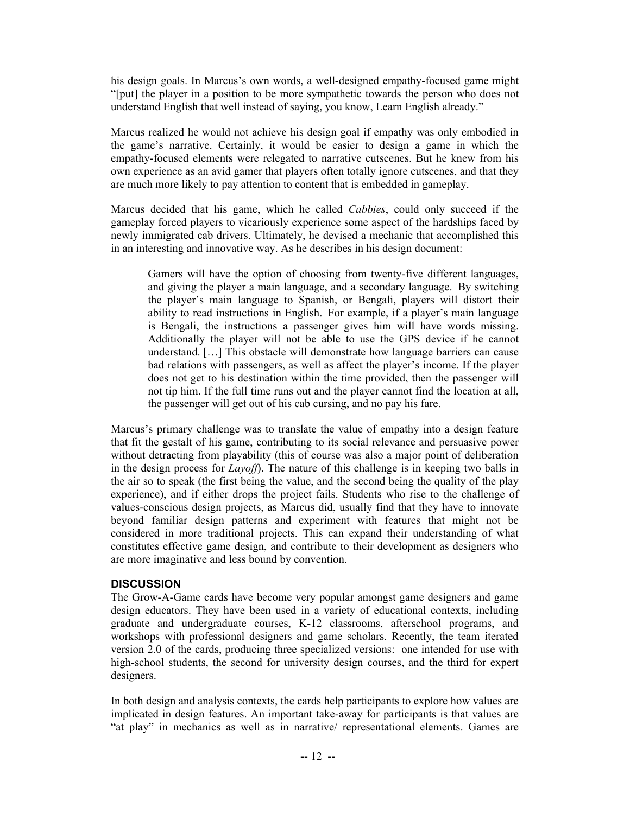his design goals. In Marcus's own words, a well-designed empathy-focused game might "[put] the player in a position to be more sympathetic towards the person who does not understand English that well instead of saying, you know, Learn English already."

Marcus realized he would not achieve his design goal if empathy was only embodied in the game's narrative. Certainly, it would be easier to design a game in which the empathy-focused elements were relegated to narrative cutscenes. But he knew from his own experience as an avid gamer that players often totally ignore cutscenes, and that they are much more likely to pay attention to content that is embedded in gameplay.

Marcus decided that his game, which he called *Cabbies*, could only succeed if the gameplay forced players to vicariously experience some aspect of the hardships faced by newly immigrated cab drivers. Ultimately, he devised a mechanic that accomplished this in an interesting and innovative way. As he describes in his design document:

Gamers will have the option of choosing from twenty-five different languages, and giving the player a main language, and a secondary language. By switching the player's main language to Spanish, or Bengali, players will distort their ability to read instructions in English. For example, if a player's main language is Bengali, the instructions a passenger gives him will have words missing. Additionally the player will not be able to use the GPS device if he cannot understand. […] This obstacle will demonstrate how language barriers can cause bad relations with passengers, as well as affect the player's income. If the player does not get to his destination within the time provided, then the passenger will not tip him. If the full time runs out and the player cannot find the location at all, the passenger will get out of his cab cursing, and no pay his fare.

Marcus's primary challenge was to translate the value of empathy into a design feature that fit the gestalt of his game, contributing to its social relevance and persuasive power without detracting from playability (this of course was also a major point of deliberation in the design process for *Layoff*). The nature of this challenge is in keeping two balls in the air so to speak (the first being the value, and the second being the quality of the play experience), and if either drops the project fails. Students who rise to the challenge of values-conscious design projects, as Marcus did, usually find that they have to innovate beyond familiar design patterns and experiment with features that might not be considered in more traditional projects. This can expand their understanding of what constitutes effective game design, and contribute to their development as designers who are more imaginative and less bound by convention.

# **DISCUSSION**

The Grow-A-Game cards have become very popular amongst game designers and game design educators. They have been used in a variety of educational contexts, including graduate and undergraduate courses, K-12 classrooms, afterschool programs, and workshops with professional designers and game scholars. Recently, the team iterated version 2.0 of the cards, producing three specialized versions: one intended for use with high-school students, the second for university design courses, and the third for expert designers.

In both design and analysis contexts, the cards help participants to explore how values are implicated in design features. An important take-away for participants is that values are "at play" in mechanics as well as in narrative/ representational elements. Games are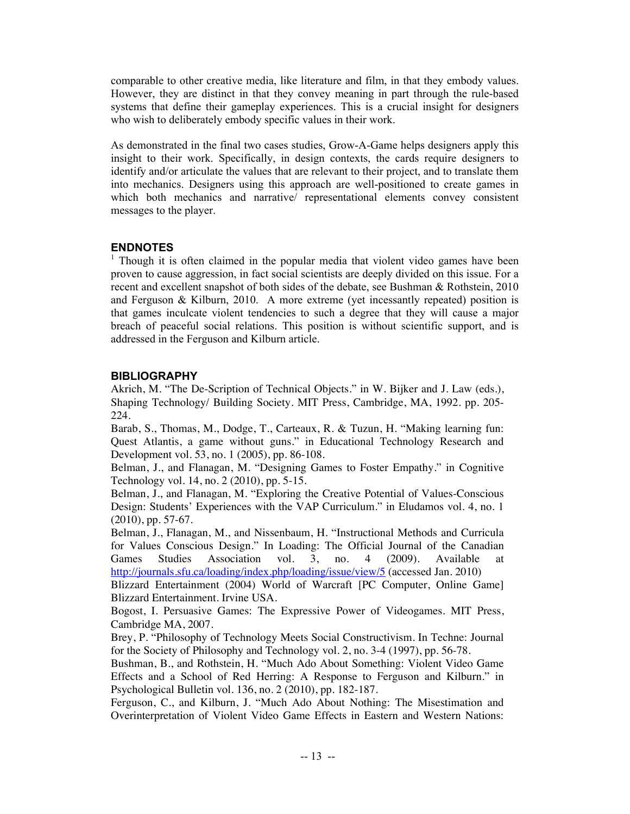comparable to other creative media, like literature and film, in that they embody values. However, they are distinct in that they convey meaning in part through the rule-based systems that define their gameplay experiences. This is a crucial insight for designers who wish to deliberately embody specific values in their work.

As demonstrated in the final two cases studies, Grow-A-Game helps designers apply this insight to their work. Specifically, in design contexts, the cards require designers to identify and/or articulate the values that are relevant to their project, and to translate them into mechanics. Designers using this approach are well-positioned to create games in which both mechanics and narrative/ representational elements convey consistent messages to the player.

#### **ENDNOTES**

<sup>1</sup> Though it is often claimed in the popular media that violent video games have been proven to cause aggression, in fact social scientists are deeply divided on this issue. For a recent and excellent snapshot of both sides of the debate, see Bushman & Rothstein, 2010 and Ferguson & Kilburn, 2010. A more extreme (yet incessantly repeated) position is that games inculcate violent tendencies to such a degree that they will cause a major breach of peaceful social relations. This position is without scientific support, and is addressed in the Ferguson and Kilburn article.

#### **BIBLIOGRAPHY**

Akrich, M. "The De-Scription of Technical Objects." in W. Bijker and J. Law (eds.), Shaping Technology/ Building Society. MIT Press, Cambridge, MA, 1992. pp. 205- 224.

Barab, S., Thomas, M., Dodge, T., Carteaux, R. & Tuzun, H. "Making learning fun: Quest Atlantis, a game without guns." in Educational Technology Research and Development vol. 53, no. 1 (2005), pp. 86-108.

Belman, J., and Flanagan, M. "Designing Games to Foster Empathy." in Cognitive Technology vol. 14, no. 2 (2010), pp. 5-15.

Belman, J., and Flanagan, M. "Exploring the Creative Potential of Values-Conscious Design: Students' Experiences with the VAP Curriculum." in Eludamos vol. 4, no. 1 (2010), pp. 57-67.

Belman, J., Flanagan, M., and Nissenbaum, H. "Instructional Methods and Curricula for Values Conscious Design." In Loading: The Official Journal of the Canadian Games Studies Association vol. 3, no. 4 (2009). Available at http://journals.sfu.ca/loading/index.php/loading/issue/view/5 (accessed Jan. 2010)

Blizzard Entertainment (2004) World of Warcraft [PC Computer, Online Game] Blizzard Entertainment. Irvine USA.

Bogost, I. Persuasive Games: The Expressive Power of Videogames. MIT Press, Cambridge MA, 2007.

Brey, P. "Philosophy of Technology Meets Social Constructivism. In Techne: Journal for the Society of Philosophy and Technology vol. 2, no. 3-4 (1997), pp. 56-78.

Bushman, B., and Rothstein, H. "Much Ado About Something: Violent Video Game Effects and a School of Red Herring: A Response to Ferguson and Kilburn." in Psychological Bulletin vol. 136, no. 2 (2010), pp. 182-187.

Ferguson, C., and Kilburn, J. "Much Ado About Nothing: The Misestimation and Overinterpretation of Violent Video Game Effects in Eastern and Western Nations: